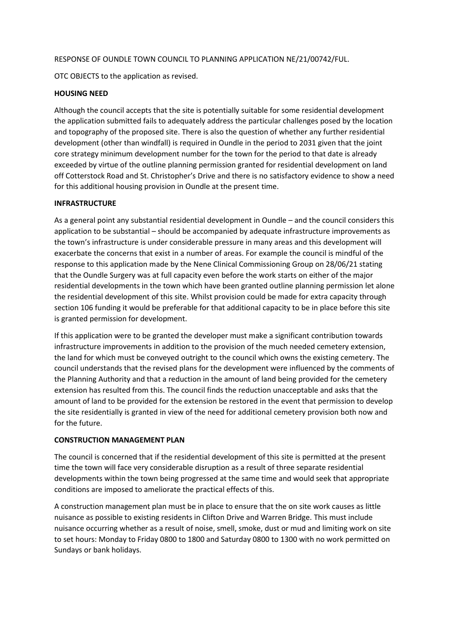#### RESPONSE OF OUNDLE TOWN COUNCIL TO PLANNING APPLICATION NE/21/00742/FUL.

OTC OBJECTS to the application as revised.

#### **HOUSING NEED**

Although the council accepts that the site is potentially suitable for some residential development the application submitted fails to adequately address the particular challenges posed by the location and topography of the proposed site. There is also the question of whether any further residential development (other than windfall) is required in Oundle in the period to 2031 given that the joint core strategy minimum development number for the town for the period to that date is already exceeded by virtue of the outline planning permission granted for residential development on land off Cotterstock Road and St. Christopher's Drive and there is no satisfactory evidence to show a need for this additional housing provision in Oundle at the present time.

#### **INFRASTRUCTURE**

As a general point any substantial residential development in Oundle – and the council considers this application to be substantial – should be accompanied by adequate infrastructure improvements as the town's infrastructure is under considerable pressure in many areas and this development will exacerbate the concerns that exist in a number of areas. For example the council is mindful of the response to this application made by the Nene Clinical Commissioning Group on 28/06/21 stating that the Oundle Surgery was at full capacity even before the work starts on either of the major residential developments in the town which have been granted outline planning permission let alone the residential development of this site. Whilst provision could be made for extra capacity through section 106 funding it would be preferable for that additional capacity to be in place before this site is granted permission for development.

If this application were to be granted the developer must make a significant contribution towards infrastructure improvements in addition to the provision of the much needed cemetery extension, the land for which must be conveyed outright to the council which owns the existing cemetery. The council understands that the revised plans for the development were influenced by the comments of the Planning Authority and that a reduction in the amount of land being provided for the cemetery extension has resulted from this. The council finds the reduction unacceptable and asks that the amount of land to be provided for the extension be restored in the event that permission to develop the site residentially is granted in view of the need for additional cemetery provision both now and for the future.

#### **CONSTRUCTION MANAGEMENT PLAN**

The council is concerned that if the residential development of this site is permitted at the present time the town will face very considerable disruption as a result of three separate residential developments within the town being progressed at the same time and would seek that appropriate conditions are imposed to ameliorate the practical effects of this.

A construction management plan must be in place to ensure that the on site work causes as little nuisance as possible to existing residents in Clifton Drive and Warren Bridge. This must include nuisance occurring whether as a result of noise, smell, smoke, dust or mud and limiting work on site to set hours: Monday to Friday 0800 to 1800 and Saturday 0800 to 1300 with no work permitted on Sundays or bank holidays.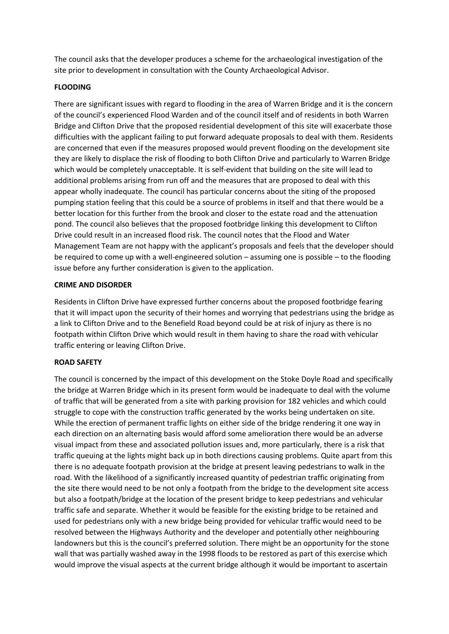The council asks that the developer produces a scheme for the archaeological investigation of the site prior to development in consultation with the County Archaeological Advisor.

# **FLOODING**

There are significant issues with regard to flooding in the area of Warren Bridge and it is the concern of the council's experienced Flood Warden and of the council itself and of residents in both Warren Bridge and Clifton Drive that the proposed residential development of this site will exacerbate those difficulties with the applicant failing to put forward adequate proposals to deal with them. Residents are concerned that even if the measures proposed would prevent flooding on the development site they are likely to displace the risk of flooding to both Clifton Drive and particularly to Warren Bridge which would be completely unacceptable. It is self-evident that building on the site will lead to additional problems arising from run off and the measures that are proposed to deal with this appear wholly inadequate. The council has particular concerns about the siting of the proposed pumping station feeling that this could be a source of problems in itself and that there would be a better location for this further from the brook and closer to the estate road and the attenuation pond. The council also believes that the proposed footbridge linking this development to Clifton Drive could result in an increased flood risk. The council notes that the Flood and Water Management Team are not happy with the applicant's proposals and feels that the developer should be required to come up with a well-engineered solution – assuming one is possible – to the flooding issue before any further consideration is given to the application.

# **CRIME AND DISORDER**

Residents in Clifton Drive have expressed further concerns about the proposed footbridge fearing that it will impact upon the security of their homes and worrying that pedestrians using the bridge as a link to Clifton Drive and to the Benefield Road beyond could be at risk of injury as there is no footpath within Clifton Drive which would result in them having to share the road with vehicular traffic entering or leaving Clifton Drive.

# **ROAD SAFETY**

The council is concerned by the impact of this development on the Stoke Doyle Road and specifically the bridge at Warren Bridge which in its present form would be inadequate to deal with the volume of traffic that will be generated from a site with parking provision for 182 vehicles and which could struggle to cope with the construction traffic generated by the works being undertaken on site. While the erection of permanent traffic lights on either side of the bridge rendering it one way in each direction on an alternating basis would afford some amelioration there would be an adverse visual impact from these and associated pollution issues and, more particularly, there is a risk that traffic queuing at the lights might back up in both directions causing problems. Quite apart from this there is no adequate footpath provision at the bridge at present leaving pedestrians to walk in the road. With the likelihood of a significantly increased quantity of pedestrian traffic originating from the site there would need to be not only a footpath from the bridge to the development site access but also a footpath/bridge at the location of the present bridge to keep pedestrians and vehicular traffic safe and separate. Whether it would be feasible for the existing bridge to be retained and used for pedestrians only with a new bridge being provided for vehicular traffic would need to be resolved between the Highways Authority and the developer and potentially other neighbouring landowners but this is the council's preferred solution. There might be an opportunity for the stone wall that was partially washed away in the 1998 floods to be restored as part of this exercise which would improve the visual aspects at the current bridge although it would be important to ascertain